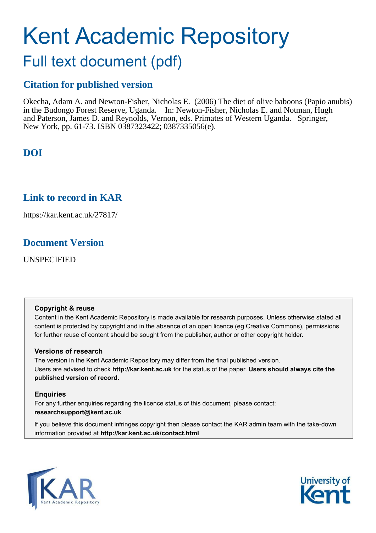# Kent Academic Repository

## Full text document (pdf)

## **Citation for published version**

Okecha, Adam A. and Newton-Fisher, Nicholas E. (2006) The diet of olive baboons (Papio anubis) in the Budongo Forest Reserve, Uganda. In: Newton-Fisher, Nicholas E. and Notman, Hugh and Paterson, James D. and Reynolds, Vernon, eds. Primates of Western Uganda. Springer, New York, pp. 61-73. ISBN 0387323422; 0387335056(e).

## **DOI**

## **Link to record in KAR**

https://kar.kent.ac.uk/27817/

## **Document Version**

UNSPECIFIED

#### **Copyright & reuse**

Content in the Kent Academic Repository is made available for research purposes. Unless otherwise stated all content is protected by copyright and in the absence of an open licence (eg Creative Commons), permissions for further reuse of content should be sought from the publisher, author or other copyright holder.

#### **Versions of research**

The version in the Kent Academic Repository may differ from the final published version. Users are advised to check **http://kar.kent.ac.uk** for the status of the paper. **Users should always cite the published version of record.**

#### **Enquiries**

For any further enquiries regarding the licence status of this document, please contact: **researchsupport@kent.ac.uk**

If you believe this document infringes copyright then please contact the KAR admin team with the take-down information provided at **http://kar.kent.ac.uk/contact.html**



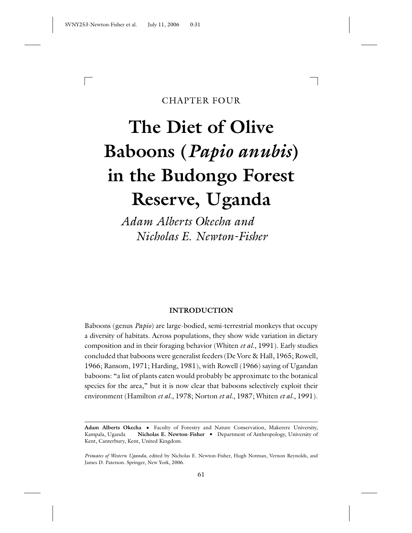#### CHAPTER FOUR

# **The Diet of Olive Baboons (***Papio anubis***) in the Budongo Forest Reserve, Uganda**

*Adam Alberts Okecha and Nicholas E. Newton-Fisher*

#### **INTRODUCTION**

Baboons (genus *Papio*) are large-bodied, semi-terrestrial monkeys that occupy a diversity of habitats. Across populations, they show wide variation in dietary composition and in their foraging behavior (Whiten *et al.*, 1991). Early studies concluded that baboons were generalist feeders (De Vore & Hall, 1965; Rowell, 1966; Ransom, 1971; Harding, 1981), with Rowell (1966) saying of Ugandan baboons: "a list of plants eaten would probably be approximate to the botanical species for the area," but it is now clear that baboons selectively exploit their environment (Hamilton *et al.*, 1978; Norton *et al.*, 1987; Whiten *et al.*, 1991).

Adam Alberts Okecha . Faculty of Forestry and Nature Conservation, Makerere University, Kampala, Uganda **Nicholas E. Newton-Fisher** . Department of Anthropology, University of Kent, Canterbury, Kent, United Kingdom.

*Primates of Western Uganda,* edited by Nicholas E. Newton-Fisher, Hugh Notman, Vernon Reynolds, and James D. Paterson. Springer, New York, 2006.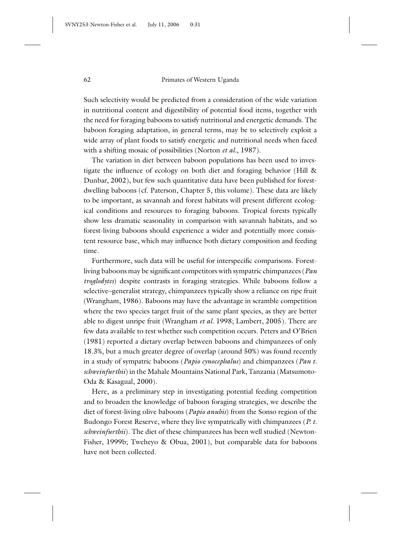Such selectivity would be predicted from a consideration of the wide variation in nutritional content and digestibility of potential food items, together with the need for foraging baboons to satisfy nutritional and energetic demands. The baboon foraging adaptation, in general terms, may be to selectively exploit a wide array of plant foods to satisfy energetic and nutritional needs when faced with a shifting mosaic of possibilities (Norton *et al.*, 1987).

The variation in diet between baboon populations has been used to investigate the influence of ecology on both diet and foraging behavior (Hill & Dunbar, 2002), but few such quantitative data have been published for forestdwelling baboons (cf. Paterson, Chapter 5, this volume). These data are likely to be important, as savannah and forest habitats will present different ecological conditions and resources to foraging baboons. Tropical forests typically show less dramatic seasonality in comparison with savannah habitats, and so forest-living baboons should experience a wider and potentially more consistent resource base, which may influence both dietary composition and feeding time.

Furthermore, such data will be useful for interspecific comparisons. Forestliving baboons may be significant competitors with sympatric chimpanzees (*Pan troglodytes*) despite contrasts in foraging strategies. While baboons follow a selective–generalist strategy, chimpanzees typically show a reliance on ripe fruit (Wrangham, 1986). Baboons may have the advantage in scramble competition where the two species target fruit of the same plant species, as they are better able to digest unripe fruit (Wrangham *et al.* 1998; Lambert, 2005). There are few data available to test whether such competition occurs. Peters and O'Brien (1981) reported a dietary overlap between baboons and chimpanzees of only 18.3%, but a much greater degree of overlap (around 50%) was found recently in a study of sympatric baboons (*Papio cynocephalus*) and chimpanzees (*Pan t. schweinfurthii*) in the Mahale Mountains National Park, Tanzania (Matsumoto-Oda & Kasagual, 2000).

Here, as a preliminary step in investigating potential feeding competition and to broaden the knowledge of baboon foraging strategies, we describe the diet of forest-living olive baboons (*Papio anubis*) from the Sonso region of the Budongo Forest Reserve, where they live sympatrically with chimpanzees (*P. t. schweinfurthii*). The diet of these chimpanzees has been well studied (Newton-Fisher, 1999b; Tweheyo & Obua, 2001), but comparable data for baboons have not been collected.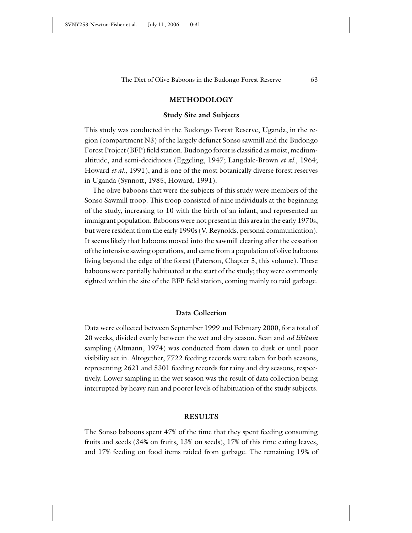#### **METHODOLOGY**

#### **Study Site and Subjects**

This study was conducted in the Budongo Forest Reserve, Uganda, in the region (compartment N3) of the largely defunct Sonso sawmill and the Budongo Forest Project (BFP) field station. Budongo forest is classified as moist, mediumaltitude, and semi-deciduous (Eggeling, 1947; Langdale-Brown *et al.*, 1964; Howard *et al.*, 1991), and is one of the most botanically diverse forest reserves in Uganda (Synnott, 1985; Howard, 1991).

The olive baboons that were the subjects of this study were members of the Sonso Sawmill troop. This troop consisted of nine individuals at the beginning of the study, increasing to 10 with the birth of an infant, and represented an immigrant population. Baboons were not present in this area in the early 1970s, but were resident from the early 1990s (V. Reynolds, personal communication). It seems likely that baboons moved into the sawmill clearing after the cessation of the intensive sawing operations, and came from a population of olive baboons living beyond the edge of the forest (Paterson, Chapter 5, this volume). These baboons were partially habituated at the start of the study; they were commonly sighted within the site of the BFP field station, coming mainly to raid garbage.

#### **Data Collection**

Data were collected between September 1999 and February 2000, for a total of 20 weeks, divided evenly between the wet and dry season. Scan and *ad libitum* sampling (Altmann, 1974) was conducted from dawn to dusk or until poor visibility set in. Altogether, 7722 feeding records were taken for both seasons, representing 2621 and 5301 feeding records for rainy and dry seasons, respectively. Lower sampling in the wet season was the result of data collection being interrupted by heavy rain and poorer levels of habituation of the study subjects.

#### **RESULTS**

The Sonso baboons spent 47% of the time that they spent feeding consuming fruits and seeds (34% on fruits, 13% on seeds), 17% of this time eating leaves, and 17% feeding on food items raided from garbage. The remaining 19% of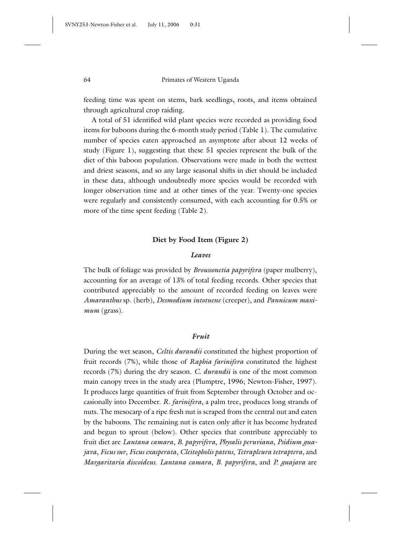feeding time was spent on stems, bark seedlings, roots, and items obtained through agricultural crop raiding.

A total of 51 identified wild plant species were recorded as providing food items for baboons during the 6-month study period (Table 1). The cumulative number of species eaten approached an asymptote after about 12 weeks of study (Figure 1), suggesting that these 51 species represent the bulk of the diet of this baboon population. Observations were made in both the wettest and driest seasons, and so any large seasonal shifts in diet should be included in these data, although undoubtedly more species would be recorded with longer observation time and at other times of the year. Twenty-one species were regularly and consistently consumed, with each accounting for 0.5% or more of the time spent feeding (Table 2).

#### **Diet by Food Item (Figure 2)**

#### *Leaves*

The bulk of foliage was provided by *Broussonetia papyrifera* (paper mulberry), accounting for an average of 13% of total feeding records. Other species that contributed appreciably to the amount of recorded feeding on leaves were *Amaranthus* sp. (herb), *Desmodium intotuene* (creeper), and *Pannicum maximum* (grass).

#### *Fruit*

During the wet season, *Celtis durandii* constituted the highest proportion of fruit records (7%), while those of *Raphia farinifera* constituted the highest records (7%) during the dry season. *C. durandii* is one of the most common main canopy trees in the study area (Plumptre, 1996; Newton-Fisher, 1997). It produces large quantities of fruit from September through October and occasionally into December. *R. farinifera*, a palm tree, produces long strands of nuts. The mesocarp of a ripe fresh nut is scraped from the central nut and eaten by the baboons. The remaining nut is eaten only after it has become hydrated and begun to sprout (below). Other species that contribute appreciably to fruit diet are *Lantana camara*, *B. papyrifera*, *Physalis peruviana*, *Psidium guajava*, *Ficus sur*, *Ficus exasperata*, *Cleitopholis patens*, *Tetrapleura tetraptera*, and *Margaritaria discoideus*. *Lantana camara*, *B. papyrifera*, and *P. guajava* are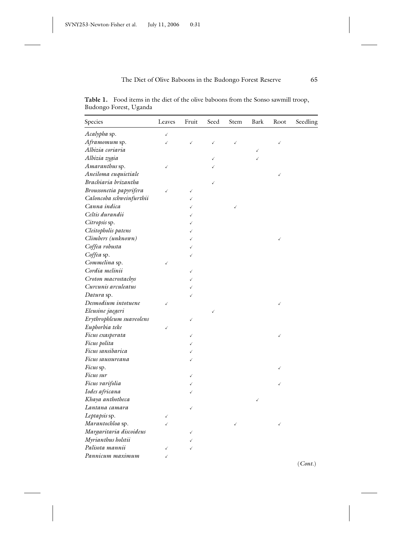**Table 1.** Food items in the diet of the olive baboons from the Sonso sawmill troop, Budongo Forest, Uganda

| Species                  | Leaves       | Fruit        | Seed         | Stem | Bark | Root | Seedling |
|--------------------------|--------------|--------------|--------------|------|------|------|----------|
| Acalypha sp.             | $\checkmark$ |              |              |      |      |      |          |
| Aframomum sp.            | ✓            | $\checkmark$ | $\checkmark$ | ✓    |      | ✓    |          |
| Albizia coriaria         |              |              |              |      |      |      |          |
| Albizia zygia            |              |              |              |      |      |      |          |
| Amaranthus sp.           | ✓            |              |              |      |      |      |          |
| Aneiloma euquietiale     |              |              |              |      |      |      |          |
| Brachiaria brizantha     |              |              | ✓            |      |      |      |          |
| Broussonetia papyrifera  |              | ✓            |              |      |      |      |          |
| Caloncoba schweinfurthii |              |              |              |      |      |      |          |
| Canna indica             |              |              |              |      |      |      |          |
| Celtis durandii          |              |              |              |      |      |      |          |
| Citropsis sp.            |              |              |              |      |      |      |          |
| Cleitopholis patens      |              |              |              |      |      |      |          |
| Climbers (unknown)       |              | ✓            |              |      |      |      |          |
| Coffea robusta           |              | ✓            |              |      |      |      |          |
| Coffea sp.               |              | ✓            |              |      |      |      |          |
| Commelina sp.            | √            |              |              |      |      |      |          |
| Cordia melinii           |              | ✓            |              |      |      |      |          |
| Croton macrostachys      |              |              |              |      |      |      |          |
| Curcunis arculeatus      |              |              |              |      |      |      |          |
| Datura sp.               |              |              |              |      |      |      |          |
| Desmodium intotuene      |              |              |              |      |      |      |          |
| Eleusine jaegeri         |              |              |              |      |      |      |          |
| Erythrophleum suaveolens |              | ✓            |              |      |      |      |          |
| Euphorbia teke           |              |              |              |      |      |      |          |
| Ficus exasperata         |              | ✓            |              |      |      |      |          |
| Ficus polita             |              |              |              |      |      |      |          |
| Ficus sansibarica        |              |              |              |      |      |      |          |
| Ficus saussureana        |              | ✓            |              |      |      |      |          |
| <i>Ficus</i> sp.         |              |              |              |      |      |      |          |
| Ficus sur                |              | ✓            |              |      |      |      |          |
| Ficus varifolia          |              |              |              |      |      |      |          |
| Iodes africana           |              |              |              |      |      |      |          |
| Khaya anthotheca         |              |              |              |      |      |      |          |
| Lantana camara           |              | ✓            |              |      |      |      |          |
| Leptapsis sp.            |              |              |              |      |      |      |          |
| Marantochloa sp.         |              |              |              | √    |      |      |          |
| Margaritaria discoideus  |              |              |              |      |      |      |          |
| Myrianthus holstii       |              |              |              |      |      |      |          |
| Palisota mannii          |              |              |              |      |      |      |          |
| Pannicum maximum         |              |              |              |      |      |      |          |

(*Cont.*)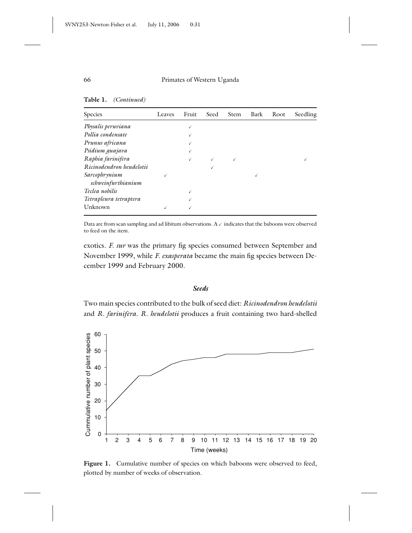**Table 1.** *(Continued)*

| Species                  | Leaves | Fruit | Seed | Stem | Bark | Root | Seedling |
|--------------------------|--------|-------|------|------|------|------|----------|
| Physalis peruviana       |        |       |      |      |      |      |          |
| Pollia condensate        |        |       |      |      |      |      |          |
| Prunus africana          |        |       |      |      |      |      |          |
| Psidium guajava          |        |       |      |      |      |      |          |
| Raphia farinifera        |        |       |      |      |      |      |          |
| Ricinodendron heudelotii |        |       |      |      |      |      |          |
| Sarcophrynium            |        |       |      |      |      |      |          |
| schweinfurthianium       |        |       |      |      |      |      |          |
| Teclea nobilis           |        |       |      |      |      |      |          |
| Tetrapleura tetraptera   |        |       |      |      |      |      |          |
| Unknown                  |        |       |      |      |      |      |          |

Data are from scan sampling and ad libitum observations.  $A \vee$  indicates that the baboons were observed to feed on the item.

exotics. *F. sur* was the primary fig species consumed between September and November 1999, while *F. exasperata* became the main fig species between December 1999 and February 2000.

#### *Seeds*

Two main species contributed to the bulk of seed diet: *Ricinodendron heudelotii* and *R. farinifera*. *R. heudelotii* produces a fruit containing two hard-shelled



Figure 1. Cumulative number of species on which baboons were observed to feed, plotted by number of weeks of observation.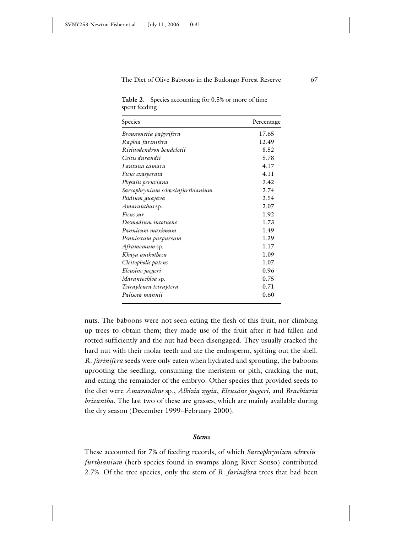**Table 2.** Species accounting for 0.5% or more of time spent feeding

| Species                          | Percentage |
|----------------------------------|------------|
| Broussonetia papyrifera          | 17.65      |
| Raphia farinifera                | 12.49      |
| Ricinodendron heudelotii         | 8.52       |
| Celtis durandii                  | 5.78       |
| Lantana camara                   | 4.17       |
| Ficus exasperata                 | 4.11       |
| Physalis peruviana               | 3.42       |
| Sarcophrynium schweinfurthianium | 2.74       |
| Psidium guajava                  | 2.54       |
| <i>Amaranthus</i> sp.            | 2.07       |
| Ficus sur                        | 1.92       |
| Desmodium intotuene              | 1.73       |
| Pannicum maximum                 | 1.49       |
| Pennisetum purpureum             | 1.39       |
| Aframomum sp.                    | 1.17       |
| Khaya anthotheca                 | 1.09       |
| Cleitopholis patens              | 1.07       |
| Eleusine jaegeri                 | 0.96       |
| Marantochloa sp.                 | 0.75       |
| Tetrapleura tetraptera           | 0.71       |
| Palisota mannii                  | 0.60       |

nuts. The baboons were not seen eating the flesh of this fruit, nor climbing up trees to obtain them; they made use of the fruit after it had fallen and rotted sufficiently and the nut had been disengaged. They usually cracked the hard nut with their molar teeth and ate the endosperm, spitting out the shell. *R. farinifera* seeds were only eaten when hydrated and sprouting, the baboons uprooting the seedling, consuming the meristem or pith, cracking the nut, and eating the remainder of the embryo. Other species that provided seeds to the diet were *Amaranthus* sp., *Albizia zygia*, *Eleussine jaegeri*, and *Brachiaria brizantha*. The last two of these are grasses, which are mainly available during the dry season (December 1999–February 2000).

#### *Stems*

These accounted for 7% of feeding records, of which *Sarcophrynium schweinfurthianium* (herb species found in swamps along River Sonso) contributed 2.7%. Of the tree species, only the stem of *R. farinifera* trees that had been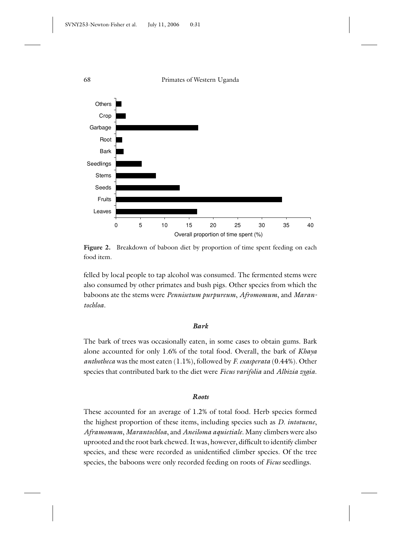

Figure 2. Breakdown of baboon diet by proportion of time spent feeding on each food item.

felled by local people to tap alcohol was consumed. The fermented stems were also consumed by other primates and bush pigs. Other species from which the baboons ate the stems were *Pennisetum purpureum*, *Afromomum*, and *Marantochloa*.

#### *Bark*

The bark of trees was occasionally eaten, in some cases to obtain gums. Bark alone accounted for only 1.6% of the total food. Overall, the bark of *Khaya anthotheca* was the most eaten (1.1%), followed by *F. exasperata* (0.44%). Other species that contributed bark to the diet were *Ficus varifolia* and *Albizia zygia*.

#### *Roots*

These accounted for an average of 1.2% of total food. Herb species formed the highest proportion of these items, including species such as *D. intotuene*, *Aframomum*, *Marantochloa*, and *Aneiloma aquietiale*. Many climbers were also uprooted and the root bark chewed. It was, however, difficult to identify climber species, and these were recorded as unidentified climber species. Of the tree species, the baboons were only recorded feeding on roots of *Ficus* seedlings.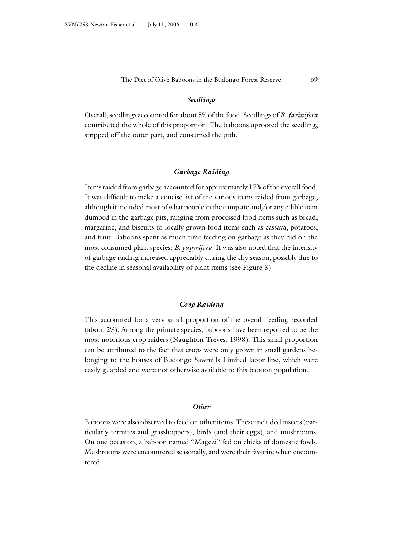#### *Seedlings*

Overall, seedlings accounted for about 5% of the food. Seedlings of *R. farinifera* contributed the whole of this proportion. The baboons uprooted the seedling, stripped off the outer part, and consumed the pith.

#### *Garbage Raiding*

Items raided from garbage accounted for approximately 17% of the overall food. It was difficult to make a concise list of the various items raided from garbage, although it included most of what people in the camp ate and/or any edible item dumped in the garbage pits, ranging from processed food items such as bread, margarine, and biscuits to locally grown food items such as cassava, potatoes, and fruit. Baboons spent as much time feeding on garbage as they did on the most consumed plant species: *B. papyrifera*. It was also noted that the intensity of garbage raiding increased appreciably during the dry season, possibly due to the decline in seasonal availability of plant items (see Figure 3).

#### *Crop Raiding*

This accounted for a very small proportion of the overall feeding recorded (about 2%). Among the primate species, baboons have been reported to be the most notorious crop raiders (Naughton-Treves, 1998). This small proportion can be attributed to the fact that crops were only grown in small gardens belonging to the houses of Budongo Sawmills Limited labor line, which were easily guarded and were not otherwise available to this baboon population.

#### *Other*

Baboons were also observed to feed on other items. These included insects (particularly termites and grasshoppers), birds (and their eggs), and mushrooms. On one occasion, a baboon named "Magezi" fed on chicks of domestic fowls. Mushrooms were encountered seasonally, and were their favorite when encountered.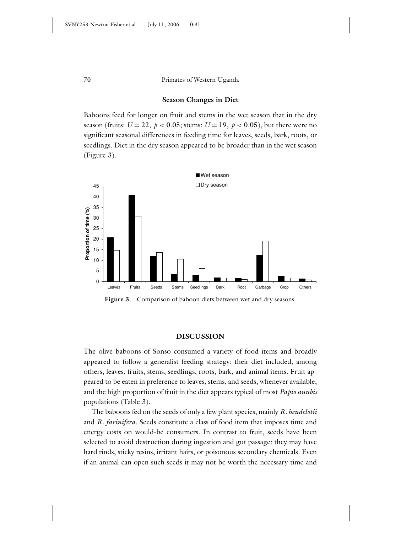#### **Season Changes in Diet**

Baboons feed for longer on fruit and stems in the wet season that in the dry season (fruits:  $U = 22$ ,  $p < 0.05$ ; stems:  $U = 19$ ,  $p < 0.05$ ), but there were no significant seasonal differences in feeding time for leaves, seeds, bark, roots, or seedlings. Diet in the dry season appeared to be broader than in the wet season (Figure 3).



**Figure 3.** Comparison of baboon diets between wet and dry seasons.

#### **DISCUSSION**

The olive baboons of Sonso consumed a variety of food items and broadly appeared to follow a generalist feeding strategy: their diet included, among others, leaves, fruits, stems, seedlings, roots, bark, and animal items. Fruit appeared to be eaten in preference to leaves, stems, and seeds, whenever available, and the high proportion of fruit in the diet appears typical of most *Papio anubis* populations (Table 3).

The baboons fed on the seeds of only a few plant species, mainly *R. heudelotii* and *R. farinifera*. Seeds constitute a class of food item that imposes time and energy costs on would-be consumers. In contrast to fruit, seeds have been selected to avoid destruction during ingestion and gut passage: they may have hard rinds, sticky resins, irritant hairs, or poisonous secondary chemicals. Even if an animal can open such seeds it may not be worth the necessary time and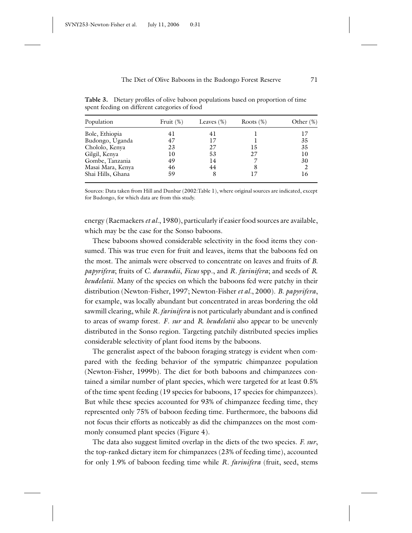**Table 3.** Dietary profiles of olive baboon populations based on proportion of time spent feeding on different categories of food

| Population        | Fruit $(\%)$ | Leaves $(\%)$ | Roots $(\%)$ | Other $(\%)$ |
|-------------------|--------------|---------------|--------------|--------------|
| Bole, Ethiopia    | 41           | 41            |              | 17           |
| Budongo, Uganda   | 47           | 17            |              | 35           |
| Chololo, Kenya    | 23           | 27            | 15           | 35           |
| Gilgil, Kenya     | 10           | 53            | 27           | 10           |
| Gombe, Tanzania   | 49           | 14            |              | 30           |
| Masai Mara, Kenya | 46           | 44            | 8            |              |
| Shai Hills, Ghana | 59           |               | 17           | 16           |

Sources: Data taken from Hill and Dunbar (2002:Table 1), where original sources are indicated, except for Budongo, for which data are from this study.

energy (Raemaekers*et al.*, 1980), particularly if easier food sources are available, which may be the case for the Sonso baboons.

These baboons showed considerable selectivity in the food items they consumed. This was true even for fruit and leaves, items that the baboons fed on the most. The animals were observed to concentrate on leaves and fruits of *B. papyrifera*; fruits of *C. durandii*, *Ficus* spp., and *R. farinifera*; and seeds of *R*. *heudelotii*. Many of the species on which the baboons fed were patchy in their distribution (Newton-Fisher, 1997; Newton-Fisher *et al.*, 2000). *B*. *papyrifera*, for example, was locally abundant but concentrated in areas bordering the old sawmill clearing, while *R. farinifera* is not particularly abundant and is confined to areas of swamp forest. *F*. *sur* and *R*. *heudelotii* also appear to be unevenly distributed in the Sonso region. Targeting patchily distributed species implies considerable selectivity of plant food items by the baboons.

The generalist aspect of the baboon foraging strategy is evident when compared with the feeding behavior of the sympatric chimpanzee population (Newton-Fisher, 1999b). The diet for both baboons and chimpanzees contained a similar number of plant species, which were targeted for at least 0.5% of the time spent feeding (19 species for baboons, 17 species for chimpanzees). But while these species accounted for 93% of chimpanzee feeding time, they represented only 75% of baboon feeding time. Furthermore, the baboons did not focus their efforts as noticeably as did the chimpanzees on the most commonly consumed plant species (Figure 4).

The data also suggest limited overlap in the diets of the two species. *F. sur*, the top-ranked dietary item for chimpanzees (23% of feeding time), accounted for only 1.9% of baboon feeding time while *R. farinifera* (fruit, seed, stems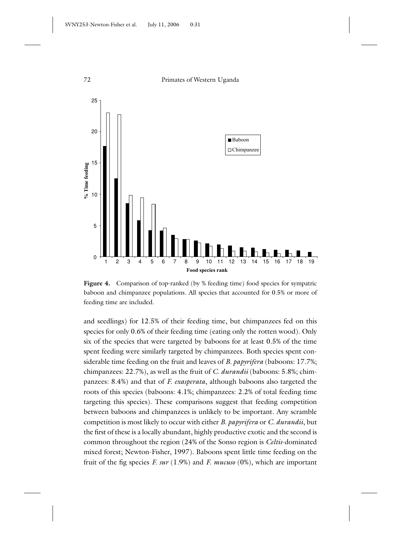

Figure 4. Comparison of top-ranked (by % feeding time) food species for sympatric baboon and chimpanzee populations. All species that accounted for 0.5% or more of feeding time are included.

and seedlings) for 12.5% of their feeding time, but chimpanzees fed on this species for only 0.6% of their feeding time (eating only the rotten wood). Only six of the species that were targeted by baboons for at least 0.5% of the time spent feeding were similarly targeted by chimpanzees. Both species spent considerable time feeding on the fruit and leaves of *B. papyrifera* (baboons: 17.7%; chimpanzees: 22.7%), as well as the fruit of *C. durandii* (baboons: 5.8%; chimpanzees: 8.4%) and that of *F. exasperata*, although baboons also targeted the roots of this species (baboons: 4.1%; chimpanzees: 2.2% of total feeding time targeting this species). These comparisons suggest that feeding competition between baboons and chimpanzees is unlikely to be important. Any scramble competition is most likely to occur with either *B. papyrifera* or *C. durandii*, but the first of these is a locally abundant, highly productive exotic and the second is common throughout the region (24% of the Sonso region is *Celtis*-dominated mixed forest; Newton-Fisher, 1997). Baboons spent little time feeding on the fruit of the fig species *F. sur* (1.9%) and *F. mucuso* (0%), which are important